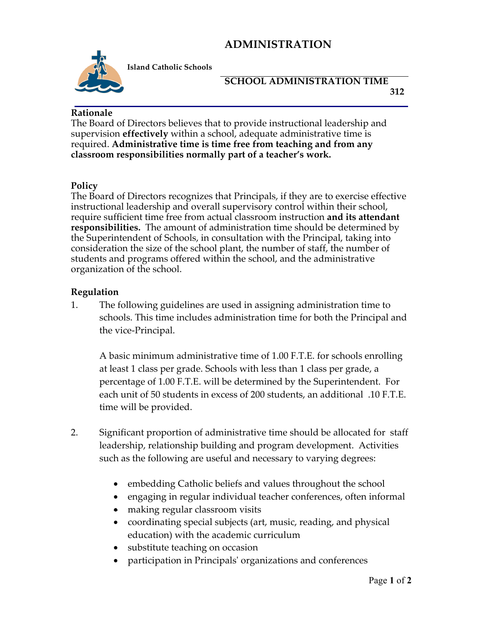# **ADMINISTRATION**



**Island Catholic Schools** 

## **SCHOOL ADMINISTRATION TIME 312**

### **Rationale**

The Board of Directors believes that to provide instructional leadership and supervision **effectively** within a school, adequate administrative time is required. **Administrative time is time free from teaching and from any classroom responsibilities normally part of a teacher's work.**

#### **Policy**

The Board of Directors recognizes that Principals, if they are to exercise effective instructional leadership and overall supervisory control within their school, require sufficient time free from actual classroom instruction **and its attendant responsibilities.** The amount of administration time should be determined by the Superintendent of Schools, in consultation with the Principal, taking into consideration the size of the school plant, the number of staff, the number of students and programs offered within the school, and the administrative organization of the school.

## **Regulation**

1. The following guidelines are used in assigning administration time to schools. This time includes administration time for both the Principal and the vice-Principal.

A basic minimum administrative time of 1.00 F.T.E. for schools enrolling at least 1 class per grade. Schools with less than 1 class per grade, a percentage of 1.00 F.T.E. will be determined by the Superintendent. For each unit of 50 students in excess of 200 students, an additional .10 F.T.E. time will be provided.

- 2. Significant proportion of administrative time should be allocated for staff leadership, relationship building and program development. Activities such as the following are useful and necessary to varying degrees:
	- embedding Catholic beliefs and values throughout the school
	- engaging in regular individual teacher conferences, often informal
	- making regular classroom visits
	- coordinating special subjects (art, music, reading, and physical education) with the academic curriculum
	- substitute teaching on occasion
	- participation in Principals' organizations and conferences